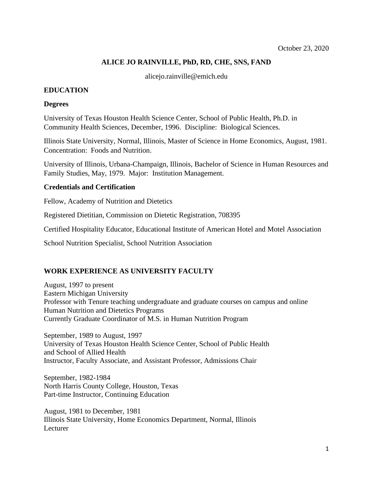# **ALICE JO RAINVILLE, PhD, RD, CHE, SNS, FAND**

alicejo.rainville@emich.edu

#### **EDUCATION**

#### **Degrees**

University of Texas Houston Health Science Center, School of Public Health, Ph.D. in Community Health Sciences, December, 1996. Discipline: Biological Sciences.

Illinois State University, Normal, Illinois, Master of Science in Home Economics, August, 1981. Concentration: Foods and Nutrition.

University of Illinois, Urbana-Champaign, Illinois, Bachelor of Science in Human Resources and Family Studies, May, 1979. Major: Institution Management.

#### **Credentials and Certification**

Fellow, Academy of Nutrition and Dietetics

Registered Dietitian, Commission on Dietetic Registration, 708395

Certified Hospitality Educator, Educational Institute of American Hotel and Motel Association

School Nutrition Specialist, School Nutrition Association

## **WORK EXPERIENCE AS UNIVERSITY FACULTY**

August, 1997 to present Eastern Michigan University Professor with Tenure teaching undergraduate and graduate courses on campus and online Human Nutrition and Dietetics Programs Currently Graduate Coordinator of M.S. in Human Nutrition Program

September, 1989 to August, 1997 University of Texas Houston Health Science Center, School of Public Health and School of Allied Health Instructor, Faculty Associate, and Assistant Professor, Admissions Chair

September, 1982-1984 North Harris County College, Houston, Texas Part-time Instructor, Continuing Education

August, 1981 to December, 1981 Illinois State University, Home Economics Department, Normal, Illinois Lecturer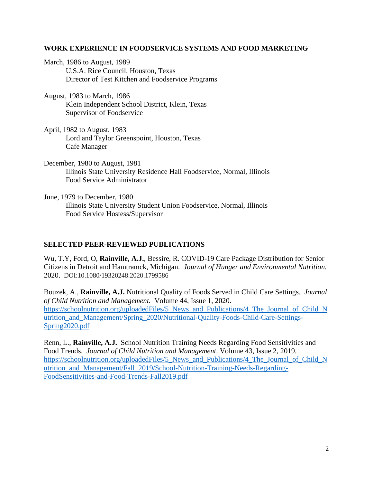#### **WORK EXPERIENCE IN FOODSERVICE SYSTEMS AND FOOD MARKETING**

March, 1986 to August, 1989 U.S.A. Rice Council, Houston, Texas Director of Test Kitchen and Foodservice Programs

August, 1983 to March, 1986 Klein Independent School District, Klein, Texas Supervisor of Foodservice

April, 1982 to August, 1983 Lord and Taylor Greenspoint, Houston, Texas Cafe Manager

December, 1980 to August, 1981 Illinois State University Residence Hall Foodservice, Normal, Illinois Food Service Administrator

June, 1979 to December, 1980 Illinois State University Student Union Foodservice, Normal, Illinois Food Service Hostess/Supervisor

## **SELECTED PEER-REVIEWED PUBLICATIONS**

Wu, T.Y, Ford, O, **Rainville, A.J.**, Bessire, R. COVID-19 Care Package Distribution for Senior Citizens in Detroit and Hamtramck, Michigan. *Journal of Hunger and Environmental Nutrition.* 2020. DOI:10.1080/19320248.2020.1799586

Bouzek, A., **Rainville, A.J.** Nutritional Quality of Foods Served in Child Care Settings. *Journal of Child Nutrition and Management.* Volume 44, Issue 1, 2020. [https://schoolnutrition.org/uploadedFiles/5\\_News\\_and\\_Publications/4\\_The\\_Journal\\_of\\_Child\\_N](https://schoolnutrition.org/uploadedFiles/5_News_and_Publications/4_The_Journal_of_Child_Nutrition_and_Management/Spring_2020/Nutritional-Quality-Foods-Child-Care-Settings-Spring2020.pdf) [utrition\\_and\\_Management/Spring\\_2020/Nutritional-Quality-Foods-Child-Care-Settings-](https://schoolnutrition.org/uploadedFiles/5_News_and_Publications/4_The_Journal_of_Child_Nutrition_and_Management/Spring_2020/Nutritional-Quality-Foods-Child-Care-Settings-Spring2020.pdf)[Spring2020.pdf](https://schoolnutrition.org/uploadedFiles/5_News_and_Publications/4_The_Journal_of_Child_Nutrition_and_Management/Spring_2020/Nutritional-Quality-Foods-Child-Care-Settings-Spring2020.pdf)

Renn, L., **Rainville, A.J.** School Nutrition Training Needs Regarding Food Sensitivities and Food Trends. *Journal of Child Nutrition and Management*. Volume 43, Issue 2, 2019. https://schoolnutrition.org/uploadedFiles/5 News and Publications/4 The Journal of Child N [utrition\\_and\\_Management/Fall\\_2019/School-Nutrition-Training-Needs-Regarding-](https://schoolnutrition.org/uploadedFiles/5_News_and_Publications/4_The_Journal_of_Child_N%20utrition_and_Management/Fall_2019/School-Nutrition-Training-Needs-Regarding-FoodSensitivities-and-Food-Trends-Fall2019.pdf)[FoodSensitivities-and-Food-Trends-Fall2019.pdf](https://schoolnutrition.org/uploadedFiles/5_News_and_Publications/4_The_Journal_of_Child_N%20utrition_and_Management/Fall_2019/School-Nutrition-Training-Needs-Regarding-FoodSensitivities-and-Food-Trends-Fall2019.pdf)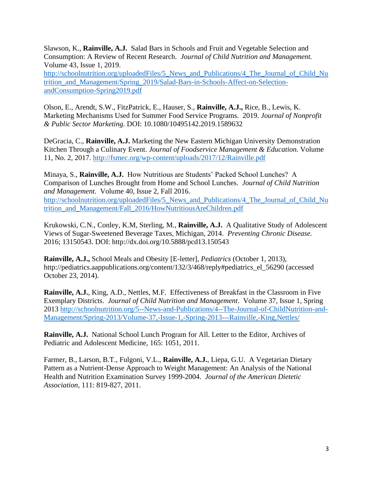Slawson, K., **Rainville, A.J.** Salad Bars in Schools and Fruit and Vegetable Selection and Consumption: A Review of Recent Research. *Journal of Child Nutrition and Management.* Volume 43, Issue 1, 2019. [http://schoolnutrition.org/uploadedFiles/5\\_News\\_and\\_Publications/4\\_The\\_Journal\\_of\\_Child\\_Nu](http://schoolnutrition.org/uploadedFiles/5_News_and_Publications/4_The_Journal_of_Child_Nu%20trition_and_Management/Spring_2019/Salad-Bars-in-Schools-Affect-on-Selection-andConsumption-Spring2019.pdf)  [trition\\_and\\_Management/Spring\\_2019/Salad-Bars-in-Schools-Affect-on-Selection](http://schoolnutrition.org/uploadedFiles/5_News_and_Publications/4_The_Journal_of_Child_Nu%20trition_and_Management/Spring_2019/Salad-Bars-in-Schools-Affect-on-Selection-andConsumption-Spring2019.pdf)[andConsumption-Spring2019.pdf](http://schoolnutrition.org/uploadedFiles/5_News_and_Publications/4_The_Journal_of_Child_Nu%20trition_and_Management/Spring_2019/Salad-Bars-in-Schools-Affect-on-Selection-andConsumption-Spring2019.pdf)

Olson, E., Arendt, S.W., FitzPatrick, E., Hauser, S., **Rainville, A.J.,** Rice, B., Lewis, K. Marketing Mechanisms Used for Summer Food Service Programs. 2019. *Journal of Nonprofit & Public Sector Marketing.* DOI: 10.1080/10495142.2019.1589632

DeGracia, C., **Rainville, A.J.** Marketing the New Eastern Michigan University Demonstration Kitchen Through a Culinary Event. *Journal of Foodservice Management & Education.* Volume 11, No. 2, 2017.<http://fsmec.org/wp-content/uploads/2017/12/Rainville.pdf>

Minaya, S., **Rainville, A.J.** How Nutritious are Students' Packed School Lunches? A Comparison of Lunches Brought from Home and School Lunches. *Journal of Child Nutrition and Management.* Volume 40, Issue 2, Fall 2016. [http://schoolnutrition.org/uploadedFiles/5\\_News\\_and\\_Publications/4\\_The\\_Journal\\_of\\_Child\\_Nu](http://schoolnutrition.org/uploadedFiles/5_News_and_Publications/4_The_Journal_of_Child_Nu%20trition_and_Management/Fall_2016/HowNutritiousAreChildren.pdf)  [trition\\_and\\_Management/Fall\\_2016/HowNutritiousAreChildren.pdf](http://schoolnutrition.org/uploadedFiles/5_News_and_Publications/4_The_Journal_of_Child_Nu%20trition_and_Management/Fall_2016/HowNutritiousAreChildren.pdf)

Krukowski, C.N., Conley, K.M, Sterling, M., **Rainville, A.J.** A Qualitative Study of Adolescent Views of Sugar-Sweetened Beverage Taxes, Michigan, 2014. *Preventing Chronic Disease.* 2016; 13150543. DOI: http://dx.doi.org/10.5888/pcd13.150543

**Rainville, A.J.,** School Meals and Obesity [E-letter], *Pediatrics* (October 1, 2013), http://pediatrics.aappublications.org/content/132/3/468/reply#pediatrics\_el\_56290 (accessed October 23, 2014).

**Rainville, A.J.**, King, A.D., Nettles, M.F. Effectiveness of Breakfast in the Classroom in Five Exemplary Districts. *Journal of Child Nutrition and Management*. Volume 37, Issue 1, Spring 2013 [http://schoolnutrition.org/5--News-and-Publications/4--The-Journal-of-ChildNutrition-and-](http://schoolnutrition.org/5--News-and-Publications/4--The-Journal-of-ChildNutrition-and-Management/Spring-2013/Volume-37,-Issue-1,-Spring-2013---Rainville,-King,Nettles/)[Management/Spring-2013/Volume-37,-Issue-1,-Spring-2013---Rainville,-King,Nettles/](http://schoolnutrition.org/5--News-and-Publications/4--The-Journal-of-ChildNutrition-and-Management/Spring-2013/Volume-37,-Issue-1,-Spring-2013---Rainville,-King,Nettles/)

**Rainville, A.J.** National School Lunch Program for All. Letter to the Editor, Archives of Pediatric and Adolescent Medicine, 165: 1051, 2011.

Farmer, B., Larson, B.T., Fulgoni, V.L., **Rainville, A.J.**, Liepa, G.U. A Vegetarian Dietary Pattern as a Nutrient-Dense Approach to Weight Management: An Analysis of the National Health and Nutrition Examination Survey 1999-2004. *Journal of the American Dietetic Association*, 111: 819-827, 2011.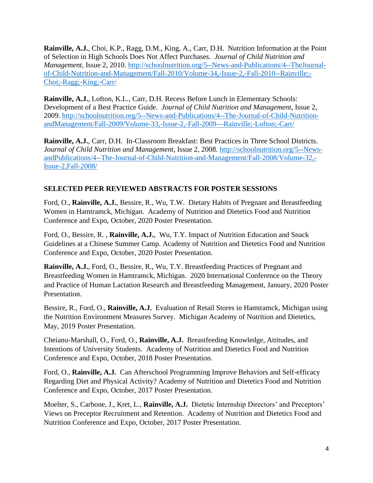**Rainville, A.J.**, Choi, K.P., Ragg, D.M., King, A., Carr, D.H. Nutrition Information at the Point of Selection in High Schools Does Not Affect Purchases. *Journal of Child Nutrition and Management*, Issue 2, 2010. [http://schoolnutrition.org/5--News-and-Publications/4--TheJournal](http://schoolnutrition.org/5--News-and-Publications/4--TheJournal-of-Child-Nutrition-and-Management/Fall-2010/Volume-34,-Issue-2,-Fall-2010--Rainville;-Choi;-Ragg;-King;-Carr/)[of-Child-Nutrition-and-Management/Fall-2010/Volume-34,-Issue-2,-Fall-2010--Rainville;-](http://schoolnutrition.org/5--News-and-Publications/4--TheJournal-of-Child-Nutrition-and-Management/Fall-2010/Volume-34,-Issue-2,-Fall-2010--Rainville;-Choi;-Ragg;-King;-Carr/) [Choi;-Ragg;-King;-Carr/](http://schoolnutrition.org/5--News-and-Publications/4--TheJournal-of-Child-Nutrition-and-Management/Fall-2010/Volume-34,-Issue-2,-Fall-2010--Rainville;-Choi;-Ragg;-King;-Carr/)

**Rainville, A.J.**, Lofton, K.L., Carr, D.H. Recess Before Lunch in Elementary Schools: Development of a Best Practice Guide. *Journal of Child Nutrition and Management*, Issue 2, 2009. [http://schoolnutrition.org/5--News-and-Publications/4--The-Journal-of-Child-Nutrition](http://schoolnutrition.org/5--News-and-Publications/4--The-Journal-of-Child-Nutrition-andManagement/Fall-2009/Volume-33,-Issue-2,-Fall-2009---Rainville;-Lofton;-Carr/)[andManagement/Fall-2009/Volume-33,-Issue-2,-Fall-2009---Rainville;-Lofton;-Carr/](http://schoolnutrition.org/5--News-and-Publications/4--The-Journal-of-Child-Nutrition-andManagement/Fall-2009/Volume-33,-Issue-2,-Fall-2009---Rainville;-Lofton;-Carr/)

**Rainville, A.J.**, Carr, D.H. In-Classroom Breakfast: Best Practices in Three School Districts. *Journal of Child Nutrition and Management*, Issue 2, 2008. [http://schoolnutrition.org/5--News](http://schoolnutrition.org/5--News-andPublications/4--The-Journal-of-Child-Nutrition-and-Management/Fall-2008/Volume-32,-Issue-2,Fall-2008/)[andPublications/4--The-Journal-of-Child-Nutrition-and-Management/Fall-2008/Volume-32,-](http://schoolnutrition.org/5--News-andPublications/4--The-Journal-of-Child-Nutrition-and-Management/Fall-2008/Volume-32,-Issue-2,Fall-2008/) [Issue-2,Fall-2008/](http://schoolnutrition.org/5--News-andPublications/4--The-Journal-of-Child-Nutrition-and-Management/Fall-2008/Volume-32,-Issue-2,Fall-2008/)

# **SELECTED PEER REVIEWED ABSTRACTS FOR POSTER SESSIONS**

Ford, O., **Rainville, A.J.**, Bessire, R., Wu, T.W. Dietary Habits of Pregnant and Breastfeeding Women in Hamtramck, Michigan. Academy of Nutrition and Dietetics Food and Nutrition Conference and Expo, October, 2020 Poster Presentation.

Ford, O., Bessire, R. , **Rainville, A.J.**, Wu, T.Y. Impact of Nutrition Education and Snack Guidelines at a Chinese Summer Camp. Academy of Nutrition and Dietetics Food and Nutrition Conference and Expo, October, 2020 Poster Presentation.

**Rainville, A.J.**, Ford, O., Bessire, R., Wu, T.Y. Breastfeeding Practices of Pregnant and Breastfeeding Women in Hamtramck, Michigan. 2020 International Conference on the Theory and Practice of Human Lactation Research and Breastfeeding Management, January, 2020 Poster Presentation.

Bessire, R., Ford, O., **Rainville, A.J.** Evaluation of Retail Stores in Hamtramck, Michigan using the Nutrition Environment Measures Survey. Michigan Academy of Nutrition and Dietetics, May, 2019 Poster Presentation.

Cheianu-Marshall, O., Ford, O., **Rainville, A.J.** Breastfeeding Knowledge, Attitudes, and Intentions of University Students. Academy of Nutrition and Dietetics Food and Nutrition Conference and Expo, October, 2018 Poster Presentation.

Ford, O., **Rainville, A.J.** Can Afterschool Programming Improve Behaviors and Self-efficacy Regarding Diet and Physical Activity? Academy of Nutrition and Dietetics Food and Nutrition Conference and Expo, October, 2017 Poster Presentation.

Moelter, S., Carbone, J., Kret, L., **Rainville, A.J.** Dietetic Internship Directors' and Preceptors' Views on Preceptor Recruitment and Retention. Academy of Nutrition and Dietetics Food and Nutrition Conference and Expo, October, 2017 Poster Presentation.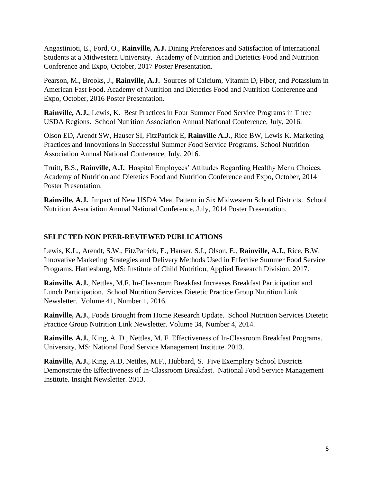Angastinioti, E., Ford, O., **Rainville, A.J.** Dining Preferences and Satisfaction of International Students at a Midwestern University. Academy of Nutrition and Dietetics Food and Nutrition Conference and Expo, October, 2017 Poster Presentation.

Pearson, M., Brooks, J., **Rainville, A.J.** Sources of Calcium, Vitamin D, Fiber, and Potassium in American Fast Food. Academy of Nutrition and Dietetics Food and Nutrition Conference and Expo, October, 2016 Poster Presentation.

**Rainville, A.J.**, Lewis, K. Best Practices in Four Summer Food Service Programs in Three USDA Regions. School Nutrition Association Annual National Conference, July, 2016.

Olson ED, Arendt SW, Hauser SI, FitzPatrick E, **Rainville A.J.**, Rice BW, Lewis K. Marketing Practices and Innovations in Successful Summer Food Service Programs. School Nutrition Association Annual National Conference, July, 2016.

Truitt, B.S., **Rainville, A.J.** Hospital Employees' Attitudes Regarding Healthy Menu Choices. Academy of Nutrition and Dietetics Food and Nutrition Conference and Expo, October, 2014 Poster Presentation.

**Rainville, A.J.** Impact of New USDA Meal Pattern in Six Midwestern School Districts. School Nutrition Association Annual National Conference, July, 2014 Poster Presentation.

# **SELECTED NON PEER-REVIEWED PUBLICATIONS**

Lewis, K.L., Arendt, S.W., FitzPatrick, E., Hauser, S.I., Olson, E., **Rainville, A.J.**, Rice, B.W. Innovative Marketing Strategies and Delivery Methods Used in Effective Summer Food Service Programs. Hattiesburg, MS: Institute of Child Nutrition, Applied Research Division, 2017.

**Rainville, A.J.**, Nettles, M.F. In-Classroom Breakfast Increases Breakfast Participation and Lunch Participation. School Nutrition Services Dietetic Practice Group Nutrition Link Newsletter. Volume 41, Number 1, 2016.

**Rainville, A.J.**, Foods Brought from Home Research Update. School Nutrition Services Dietetic Practice Group Nutrition Link Newsletter. Volume 34, Number 4, 2014.

**Rainville, A.J.**, King, A. D., Nettles, M. F. Effectiveness of In-Classroom Breakfast Programs. University, MS: National Food Service Management Institute. 2013.

**Rainville, A.J.**, King, A.D, Nettles, M.F., Hubbard, S. Five Exemplary School Districts Demonstrate the Effectiveness of In-Classroom Breakfast. National Food Service Management Institute. Insight Newsletter. 2013.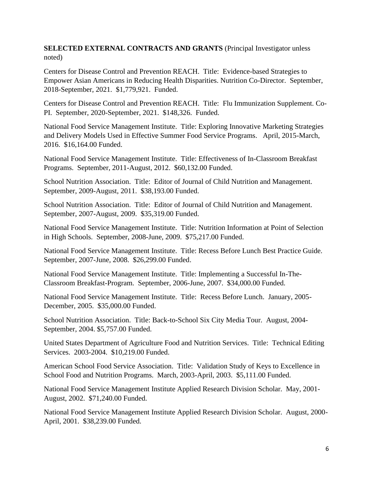# **SELECTED EXTERNAL CONTRACTS AND GRANTS** (Principal Investigator unless noted)

Centers for Disease Control and Prevention REACH. Title: Evidence-based Strategies to Empower Asian Americans in Reducing Health Disparities. Nutrition Co-Director. September, 2018-September, 2021. \$1,779,921. Funded.

Centers for Disease Control and Prevention REACH. Title: Flu Immunization Supplement. Co-PI. September, 2020-September, 2021. \$148,326. Funded.

National Food Service Management Institute. Title: Exploring Innovative Marketing Strategies and Delivery Models Used in Effective Summer Food Service Programs. April, 2015-March, 2016. \$16,164.00 Funded.

National Food Service Management Institute. Title: Effectiveness of In-Classroom Breakfast Programs. September, 2011-August, 2012. \$60,132.00 Funded.

School Nutrition Association. Title: Editor of Journal of Child Nutrition and Management. September, 2009-August, 2011. \$38,193.00 Funded.

School Nutrition Association. Title: Editor of Journal of Child Nutrition and Management. September, 2007-August, 2009. \$35,319.00 Funded.

National Food Service Management Institute. Title: Nutrition Information at Point of Selection in High Schools. September, 2008-June, 2009. \$75,217.00 Funded.

National Food Service Management Institute. Title: Recess Before Lunch Best Practice Guide. September, 2007-June, 2008. \$26,299.00 Funded.

National Food Service Management Institute. Title: Implementing a Successful In-The-Classroom Breakfast-Program. September, 2006-June, 2007. \$34,000.00 Funded.

National Food Service Management Institute. Title: Recess Before Lunch. January, 2005- December, 2005. \$35,000.00 Funded.

School Nutrition Association. Title: Back-to-School Six City Media Tour. August, 2004- September, 2004. \$5,757.00 Funded.

United States Department of Agriculture Food and Nutrition Services. Title: Technical Editing Services. 2003-2004. \$10,219.00 Funded.

American School Food Service Association. Title: Validation Study of Keys to Excellence in School Food and Nutrition Programs. March, 2003-April, 2003. \$5,111.00 Funded.

National Food Service Management Institute Applied Research Division Scholar. May, 2001- August, 2002. \$71,240.00 Funded.

National Food Service Management Institute Applied Research Division Scholar. August, 2000- April, 2001. \$38,239.00 Funded.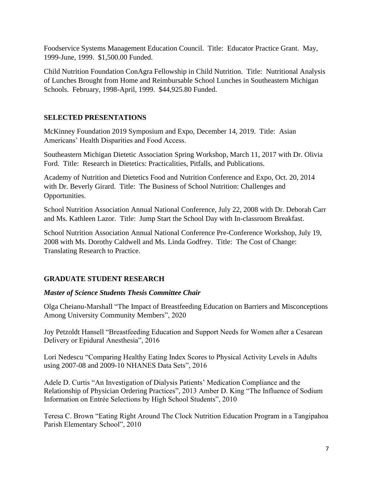Foodservice Systems Management Education Council. Title: Educator Practice Grant. May, 1999-June, 1999. \$1,500.00 Funded.

Child Nutrition Foundation ConAgra Fellowship in Child Nutrition. Title: Nutritional Analysis of Lunches Brought from Home and Reimbursable School Lunches in Southeastern Michigan Schools. February, 1998-April, 1999. \$44,925.80 Funded.

# **SELECTED PRESENTATIONS**

McKinney Foundation 2019 Symposium and Expo, December 14, 2019. Title: Asian Americans' Health Disparities and Food Access.

Southeastern Michigan Dietetic Association Spring Workshop, March 11, 2017 with Dr. Olivia Ford. Title: Research in Dietetics: Practicalities, Pitfalls, and Publications.

Academy of Nutrition and Dietetics Food and Nutrition Conference and Expo, Oct. 20, 2014 with Dr. Beverly Girard. Title: The Business of School Nutrition: Challenges and Opportunities.

School Nutrition Association Annual National Conference, July 22, 2008 with Dr. Deborah Carr and Ms. Kathleen Lazor. Title: Jump Start the School Day with In-classroom Breakfast.

School Nutrition Association Annual National Conference Pre-Conference Workshop, July 19, 2008 with Ms. Dorothy Caldwell and Ms. Linda Godfrey. Title: The Cost of Change: Translating Research to Practice.

# **GRADUATE STUDENT RESEARCH**

# *Master of Science Students Thesis Committee Chair*

Olga Cheianu-Marshall "The Impact of Breastfeeding Education on Barriers and Misconceptions Among University Community Members", 2020

Joy Petzoldt Hansell "Breastfeeding Education and Support Needs for Women after a Cesarean Delivery or Epidural Anesthesia", 2016

Lori Nedescu "Comparing Healthy Eating Index Scores to Physical Activity Levels in Adults using 2007-08 and 2009-10 NHANES Data Sets", 2016

Adele D. Curtis "An Investigation of Dialysis Patients' Medication Compliance and the Relationship of Physician Ordering Practices", 2013 Amber D. King "The Influence of Sodium Information on Entrée Selections by High School Students", 2010

Teresa C. Brown "Eating Right Around The Clock Nutrition Education Program in a Tangipahoa Parish Elementary School", 2010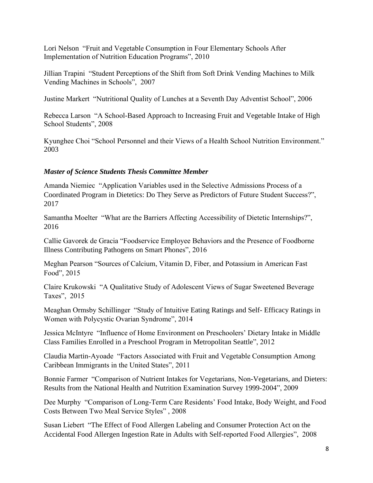Lori Nelson "Fruit and Vegetable Consumption in Four Elementary Schools After Implementation of Nutrition Education Programs", 2010

Jillian Trapini "Student Perceptions of the Shift from Soft Drink Vending Machines to Milk Vending Machines in Schools", 2007

Justine Markert "Nutritional Quality of Lunches at a Seventh Day Adventist School", 2006

Rebecca Larson "A School-Based Approach to Increasing Fruit and Vegetable Intake of High School Students", 2008

Kyunghee Choi "School Personnel and their Views of a Health School Nutrition Environment." 2003

## *Master of Science Students Thesis Committee Member*

Amanda Niemiec "Application Variables used in the Selective Admissions Process of a Coordinated Program in Dietetics: Do They Serve as Predictors of Future Student Success?", 2017

Samantha Moelter "What are the Barriers Affecting Accessibility of Dietetic Internships?", 2016

Callie Gavorek de Gracia "Foodservice Employee Behaviors and the Presence of Foodborne Illness Contributing Pathogens on Smart Phones", 2016

Meghan Pearson "Sources of Calcium, Vitamin D, Fiber, and Potassium in American Fast Food", 2015

Claire Krukowski "A Qualitative Study of Adolescent Views of Sugar Sweetened Beverage Taxes", 2015

Meaghan Ormsby Schillinger "Study of Intuitive Eating Ratings and Self- Efficacy Ratings in Women with Polycystic Ovarian Syndrome", 2014

Jessica McIntyre "Influence of Home Environment on Preschoolers' Dietary Intake in Middle Class Families Enrolled in a Preschool Program in Metropolitan Seattle", 2012

Claudia Martin-Ayoade "Factors Associated with Fruit and Vegetable Consumption Among Caribbean Immigrants in the United States", 2011

Bonnie Farmer "Comparison of Nutrient Intakes for Vegetarians, Non-Vegetarians, and Dieters: Results from the National Health and Nutrition Examination Survey 1999-2004", 2009

Dee Murphy "Comparison of Long-Term Care Residents' Food Intake, Body Weight, and Food Costs Between Two Meal Service Styles" , 2008

Susan Liebert "The Effect of Food Allergen Labeling and Consumer Protection Act on the Accidental Food Allergen Ingestion Rate in Adults with Self-reported Food Allergies", 2008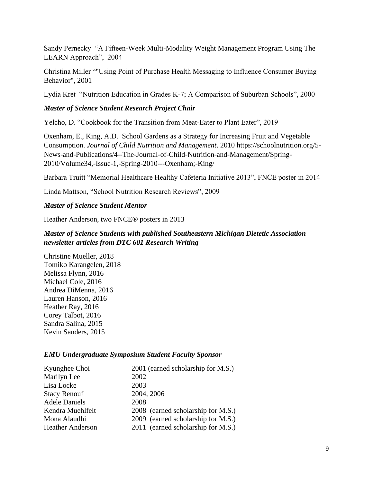Sandy Pernecky "A Fifteen-Week Multi-Modality Weight Management Program Using The LEARN Approach", 2004

Christina Miller ""Using Point of Purchase Health Messaging to Influence Consumer Buying Behavior", 2001

Lydia Kret "Nutrition Education in Grades K-7; A Comparison of Suburban Schools", 2000

## *Master of Science Student Research Project Chair*

Yelcho, D. "Cookbook for the Transition from Meat-Eater to Plant Eater", 2019

Oxenham, E., King, A.D. School Gardens as a Strategy for Increasing Fruit and Vegetable Consumption. *Journal of Child Nutrition and Management*. 2010 https://schoolnutrition.org/5- News-and-Publications/4--The-Journal-of-Child-Nutrition-and-Management/Spring-2010/Volume34,-Issue-1,-Spring-2010---Oxenham;-King/

Barbara Truitt "Memorial Healthcare Healthy Cafeteria Initiative 2013", FNCE poster in 2014

Linda Mattson, "School Nutrition Research Reviews", 2009

#### *Master of Science Student Mentor*

Heather Anderson, two FNCE® posters in 2013

# *Master of Science Students with published Southeastern Michigan Dietetic Association newsletter articles from DTC 601 Research Writing*

Christine Mueller, 2018 Tomiko Karangelen, 2018 Melissa Flynn, 2016 Michael Cole, 2016 Andrea DiMenna, 2016 Lauren Hanson, 2016 Heather Ray, 2016 Corey Talbot, 2016 Sandra Salina, 2015 Kevin Sanders, 2015

## *EMU Undergraduate Symposium Student Faculty Sponsor*

| Kyunghee Choi           | 2001 (earned scholarship for M.S.) |
|-------------------------|------------------------------------|
| Marilyn Lee             | 2002                               |
| Lisa Locke              | 2003                               |
| <b>Stacy Renouf</b>     | 2004, 2006                         |
| <b>Adele Daniels</b>    | 2008                               |
| Kendra Muehlfelt        | 2008 (earned scholarship for M.S.) |
| Mona Alaudhi            | 2009 (earned scholarship for M.S.) |
| <b>Heather Anderson</b> | 2011 (earned scholarship for M.S.) |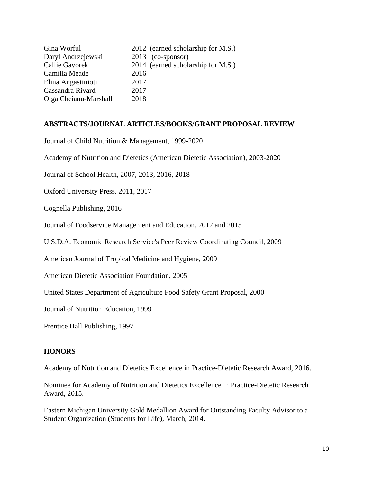| Gina Worful           | 2012 (earned scholarship for M.S.) |
|-----------------------|------------------------------------|
| Daryl Andrzejewski    | $2013$ (co-sponsor)                |
| Callie Gavorek        | 2014 (earned scholarship for M.S.) |
| Camilla Meade         | 2016                               |
| Elina Angastinioti    | 2017                               |
| Cassandra Rivard      | 2017                               |
| Olga Cheianu-Marshall | 2018                               |

#### **ABSTRACTS/JOURNAL ARTICLES/BOOKS/GRANT PROPOSAL REVIEW**

Journal of Child Nutrition & Management, 1999-2020

Academy of Nutrition and Dietetics (American Dietetic Association), 2003-2020

Journal of School Health, 2007, 2013, 2016, 2018

Oxford University Press, 2011, 2017

Cognella Publishing, 2016

Journal of Foodservice Management and Education, 2012 and 2015

U.S.D.A. Economic Research Service's Peer Review Coordinating Council, 2009

American Journal of Tropical Medicine and Hygiene, 2009

American Dietetic Association Foundation, 2005

United States Department of Agriculture Food Safety Grant Proposal, 2000

Journal of Nutrition Education, 1999

Prentice Hall Publishing, 1997

#### **HONORS**

Academy of Nutrition and Dietetics Excellence in Practice-Dietetic Research Award, 2016.

Nominee for Academy of Nutrition and Dietetics Excellence in Practice-Dietetic Research Award, 2015.

Eastern Michigan University Gold Medallion Award for Outstanding Faculty Advisor to a Student Organization (Students for Life), March, 2014.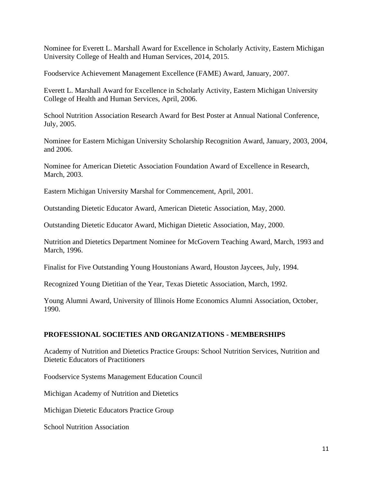Nominee for Everett L. Marshall Award for Excellence in Scholarly Activity, Eastern Michigan University College of Health and Human Services, 2014, 2015.

Foodservice Achievement Management Excellence (FAME) Award, January, 2007.

Everett L. Marshall Award for Excellence in Scholarly Activity, Eastern Michigan University College of Health and Human Services, April, 2006.

School Nutrition Association Research Award for Best Poster at Annual National Conference, July, 2005.

Nominee for Eastern Michigan University Scholarship Recognition Award, January, 2003, 2004, and 2006.

Nominee for American Dietetic Association Foundation Award of Excellence in Research, March, 2003.

Eastern Michigan University Marshal for Commencement, April, 2001.

Outstanding Dietetic Educator Award, American Dietetic Association, May, 2000.

Outstanding Dietetic Educator Award, Michigan Dietetic Association, May, 2000.

Nutrition and Dietetics Department Nominee for McGovern Teaching Award, March, 1993 and March, 1996.

Finalist for Five Outstanding Young Houstonians Award, Houston Jaycees, July, 1994.

Recognized Young Dietitian of the Year, Texas Dietetic Association, March, 1992.

Young Alumni Award, University of Illinois Home Economics Alumni Association, October, 1990.

## **PROFESSIONAL SOCIETIES AND ORGANIZATIONS - MEMBERSHIPS**

Academy of Nutrition and Dietetics Practice Groups: School Nutrition Services, Nutrition and Dietetic Educators of Practitioners

Foodservice Systems Management Education Council

Michigan Academy of Nutrition and Dietetics

Michigan Dietetic Educators Practice Group

School Nutrition Association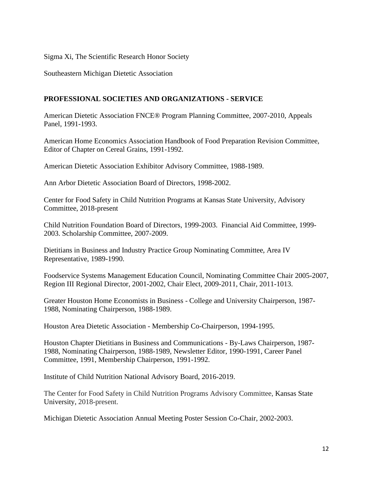#### Sigma Xi, The Scientific Research Honor Society

Southeastern Michigan Dietetic Association

#### **PROFESSIONAL SOCIETIES AND ORGANIZATIONS - SERVICE**

American Dietetic Association FNCE® Program Planning Committee, 2007-2010, Appeals Panel, 1991-1993.

American Home Economics Association Handbook of Food Preparation Revision Committee, Editor of Chapter on Cereal Grains, 1991-1992.

American Dietetic Association Exhibitor Advisory Committee, 1988-1989.

Ann Arbor Dietetic Association Board of Directors, 1998-2002.

Center for Food Safety in Child Nutrition Programs at Kansas State University, Advisory Committee, 2018-present

Child Nutrition Foundation Board of Directors, 1999-2003. Financial Aid Committee, 1999- 2003. Scholarship Committee, 2007-2009.

Dietitians in Business and Industry Practice Group Nominating Committee, Area IV Representative, 1989-1990.

Foodservice Systems Management Education Council, Nominating Committee Chair 2005-2007, Region III Regional Director, 2001-2002, Chair Elect, 2009-2011, Chair, 2011-1013.

Greater Houston Home Economists in Business - College and University Chairperson, 1987- 1988, Nominating Chairperson, 1988-1989.

Houston Area Dietetic Association - Membership Co-Chairperson, 1994-1995.

Houston Chapter Dietitians in Business and Communications - By-Laws Chairperson, 1987- 1988, Nominating Chairperson, 1988-1989, Newsletter Editor, 1990-1991, Career Panel Committee, 1991, Membership Chairperson, 1991-1992.

Institute of Child Nutrition National Advisory Board, 2016-2019.

The Center for Food Safety in Child Nutrition Programs Advisory Committee, Kansas State University, 2018-present.

Michigan Dietetic Association Annual Meeting Poster Session Co-Chair, 2002-2003.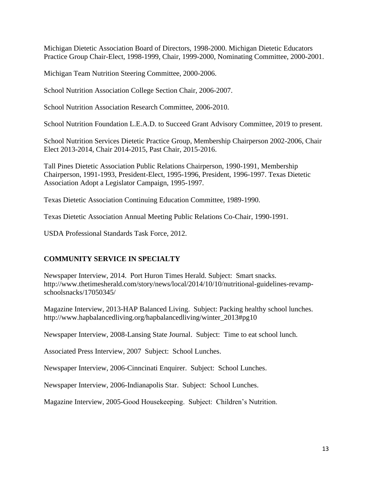Michigan Dietetic Association Board of Directors, 1998-2000. Michigan Dietetic Educators Practice Group Chair-Elect, 1998-1999, Chair, 1999-2000, Nominating Committee, 2000-2001.

Michigan Team Nutrition Steering Committee, 2000-2006.

School Nutrition Association College Section Chair, 2006-2007.

School Nutrition Association Research Committee, 2006-2010.

School Nutrition Foundation L.E.A.D. to Succeed Grant Advisory Committee, 2019 to present.

School Nutrition Services Dietetic Practice Group, Membership Chairperson 2002-2006, Chair Elect 2013-2014, Chair 2014-2015, Past Chair, 2015-2016.

Tall Pines Dietetic Association Public Relations Chairperson, 1990-1991, Membership Chairperson, 1991-1993, President-Elect, 1995-1996, President, 1996-1997. Texas Dietetic Association Adopt a Legislator Campaign, 1995-1997.

Texas Dietetic Association Continuing Education Committee, 1989-1990.

Texas Dietetic Association Annual Meeting Public Relations Co-Chair, 1990-1991.

USDA Professional Standards Task Force, 2012.

## **COMMUNITY SERVICE IN SPECIALTY**

Newspaper Interview, 2014. Port Huron Times Herald. Subject: Smart snacks. http://www.thetimesherald.com/story/news/local/2014/10/10/nutritional-guidelines-revampschoolsnacks/17050345/

Magazine Interview, 2013-HAP Balanced Living. Subject: Packing healthy school lunches. http://www.hapbalancedliving.org/hapbalancedliving/winter\_2013#pg10

Newspaper Interview, 2008-Lansing State Journal. Subject: Time to eat school lunch.

Associated Press Interview, 2007 Subject: School Lunches.

Newspaper Interview, 2006-Cinncinati Enquirer. Subject: School Lunches.

Newspaper Interview, 2006-Indianapolis Star. Subject: School Lunches.

Magazine Interview, 2005-Good Housekeeping. Subject: Children's Nutrition.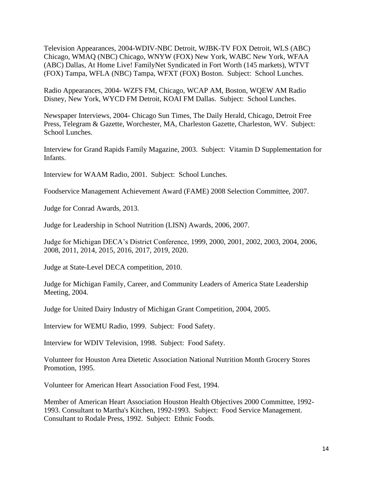Television Appearances, 2004-WDIV-NBC Detroit, WJBK-TV FOX Detroit, WLS (ABC) Chicago, WMAQ (NBC) Chicago, WNYW (FOX) New York, WABC New York, WFAA (ABC) Dallas, At Home Live! FamilyNet Syndicated in Fort Worth (145 markets), WTVT (FOX) Tampa, WFLA (NBC) Tampa, WFXT (FOX) Boston. Subject: School Lunches.

Radio Appearances, 2004- WZFS FM, Chicago, WCAP AM, Boston, WQEW AM Radio Disney, New York, WYCD FM Detroit, KOAI FM Dallas. Subject: School Lunches.

Newspaper Interviews, 2004- Chicago Sun Times, The Daily Herald, Chicago, Detroit Free Press, Telegram & Gazette, Worchester, MA, Charleston Gazette, Charleston, WV. Subject: School Lunches.

Interview for Grand Rapids Family Magazine, 2003. Subject: Vitamin D Supplementation for Infants.

Interview for WAAM Radio, 2001. Subject: School Lunches.

Foodservice Management Achievement Award (FAME) 2008 Selection Committee, 2007.

Judge for Conrad Awards, 2013.

Judge for Leadership in School Nutrition (LISN) Awards, 2006, 2007.

Judge for Michigan DECA's District Conference, 1999, 2000, 2001, 2002, 2003, 2004, 2006, 2008, 2011, 2014, 2015, 2016, 2017, 2019, 2020.

Judge at State-Level DECA competition, 2010.

Judge for Michigan Family, Career, and Community Leaders of America State Leadership Meeting, 2004.

Judge for United Dairy Industry of Michigan Grant Competition, 2004, 2005.

Interview for WEMU Radio, 1999. Subject: Food Safety.

Interview for WDIV Television, 1998. Subject: Food Safety.

Volunteer for Houston Area Dietetic Association National Nutrition Month Grocery Stores Promotion, 1995.

Volunteer for American Heart Association Food Fest, 1994.

Member of American Heart Association Houston Health Objectives 2000 Committee, 1992- 1993. Consultant to Martha's Kitchen, 1992-1993. Subject: Food Service Management. Consultant to Rodale Press, 1992. Subject: Ethnic Foods.